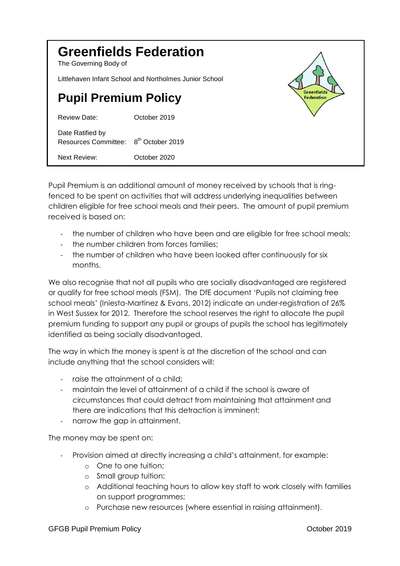| <b>Greenfields Federation</b><br>The Governing Body of |                              |                                         |
|--------------------------------------------------------|------------------------------|-----------------------------------------|
| Littlehaven Infant School and Northolmes Junior School |                              |                                         |
| <b>Pupil Premium Policy</b>                            |                              | <b>Greenfields</b><br><b>Federation</b> |
| Review Date:                                           | October 2019                 |                                         |
| Date Ratified by<br><b>Resources Committee:</b>        | 8 <sup>th</sup> October 2019 |                                         |
| <b>Next Review:</b>                                    | October 2020                 |                                         |

Pupil Premium is an additional amount of money received by schools that is ringfenced to be spent on activities that will address underlying inequalities between children eligible for free school meals and their peers. The amount of pupil premium received is based on:

- the number of children who have been and are eligible for free school meals;
- the number children from forces families:
- the number of children who have been looked after continuously for six months.

We also recognise that not all pupils who are socially disadvantaged are registered or qualify for free school meals (FSM). The DfE document 'Pupils not claiming free school meals' (Iniesta-Martinez & Evans, 2012) indicate an under-registration of 26% in West Sussex for 2012. Therefore the school reserves the right to allocate the pupil premium funding to support any pupil or groups of pupils the school has legitimately identified as being socially disadvantaged.

The way in which the money is spent is at the discretion of the school and can include anything that the school considers will:

- raise the attainment of a child;
- maintain the level of attainment of a child if the school is aware of circumstances that could detract from maintaining that attainment and there are indications that this detraction is imminent;
- narrow the gap in attainment.

The money may be spent on:

- Provision aimed at directly increasing a child's attainment, for example:
	- o One to one tuition;
	- o Small group tuition;
	- o Additional teaching hours to allow key staff to work closely with families on support programmes;
	- o Purchase new resources (where essential in raising attainment).